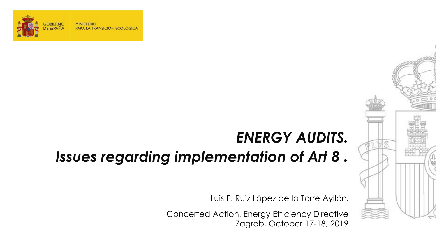

**MINISTERIO** PARA LA TRANSICIÓN ECOLÓGICA

# *ENERGY AUDITS.*

# *Issues regarding implementation of Art 8 .*

Luis E. Ruiz López de la Torre Ayllón**.**

Concerted Action, Energy Efficiency Directive Zagreb, October 17-18, 2019

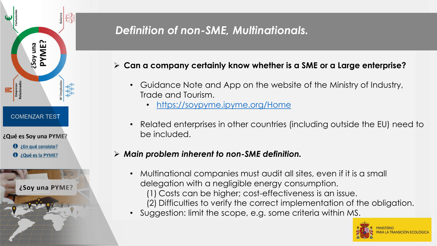

# *Definition of non-SME, Multinationals.*

- **Can a company certainly know whether is a SME or a Large enterprise?** 
	- Guidance Note and App on the website of the Ministry of Industry, Trade and Tourism.
		- <https://soypyme.ipyme.org/Home>
	- Related enterprises in other countries (including outside the EU) need to be included.

### *Main problem inherent to non-SME definition.*

- Multinational companies must audit all sites, even if it is a small delegation with a negligible energy consumption. (1) Costs can be higher; cost-effectiveness is an issue. (2) Difficulties to verify the correct implementation of the obligation.
- Suggestion: limit the scope, e.g. some criteria within MS.

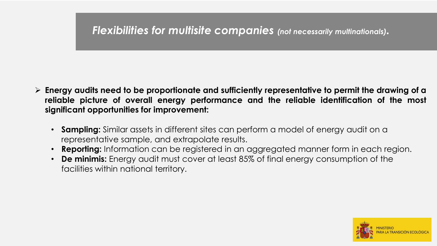## *Flexibilities for multisite companies (not necessarily multinationals).*

- **Energy audits need to be proportionate and sufficiently representative to permit the drawing of a reliable picture of overall energy performance and the reliable identification of the most significant opportunities for improvement:**
	- **Sampling:** Similar assets in different sites can perform a model of energy audit on a representative sample, and extrapolate results.
	- **Reporting:** Information can be registered in an aggregated manner form in each region.
	- **De minimis:** Energy audit must cover at least 85% of final energy consumption of the facilities within national territory.